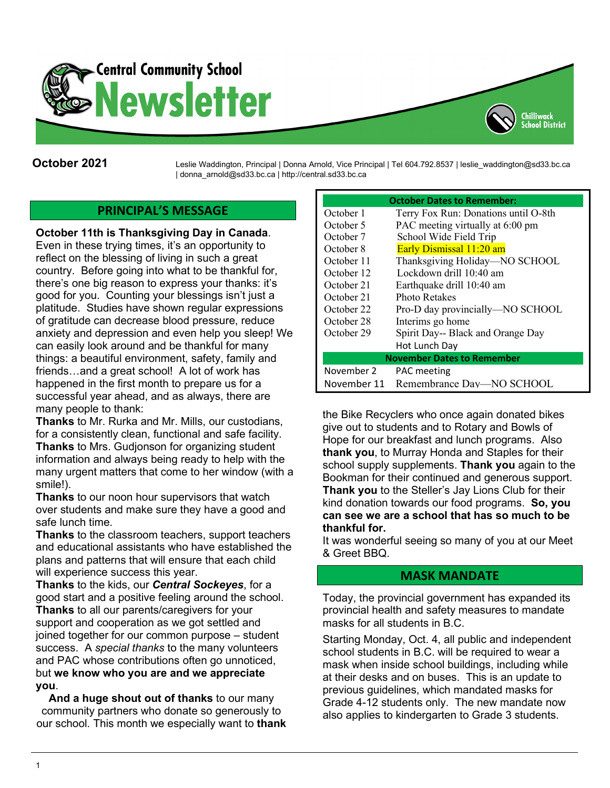

## **September 2021**

**October 2021** Leslie Waddington, Principal <sup>|</sup> Donna Arnold, Vice Principal | Tel 604.792.8537 | leslie\_waddington@sd33.bc.ca | donna\_arnold@sd33.bc.ca | http://central.sd33.bc.ca |

## **PRINCIPAL'S MESSAGE**

**October 11th is Thanksgiving Day in Canada**. Even in these trying times, it's an opportunity to reflect on the blessing of living in such a great country. Before going into what to be thankful for, there's one big reason to express your thanks: it's good for you. Counting your blessings isn't just a platitude. Studies have shown regular expressions of gratitude can decrease blood pressure, reduce anxiety and depression and even help you sleep! We can easily look around and be thankful for many things: a beautiful environment, safety, family and friends…and a great school! A lot of work has happened in the first month to prepare us for a successful year ahead, and as always, there are many people to thank:

**Thanks** to Mr. Rurka and Mr. Mills, our custodians, for a consistently clean, functional and safe facility. **Thanks** to Mrs. Gudjonson for organizing student information and always being ready to help with the many urgent matters that come to her window (with a smile!).

**Thanks** to our noon hour supervisors that watch over students and make sure they have a good and safe lunch time.

**Thanks** to the classroom teachers, support teachers and educational assistants who have established the plans and patterns that will ensure that each child will experience success this year.

**Thanks** to the kids, our *Central Sockeyes*, for a good start and a positive feeling around the school. **Thanks** to all our parents/caregivers for your support and cooperation as we got settled and joined together for our common purpose – student success. A *special thanks* to the many volunteers and PAC whose contributions often go unnoticed, but **we know who you are and we appreciate you**.

**And a huge shout out of thanks** to our many community partners who donate so generously to our school. This month we especially want to **thank**

| <b>October Dates to Remember:</b> |                                       |
|-----------------------------------|---------------------------------------|
| October 1                         | Terry Fox Run: Donations until O-8th  |
| October 5                         | PAC meeting virtually at 6:00 pm      |
| October 7                         | School Wide Field Trip                |
| October 8                         | Early Dismissal 11:20 am              |
| October 11                        | Thanksgiving Holiday—NO SCHOOL        |
| October 12                        | Lockdown drill 10:40 am               |
| October 21                        | Earthquake drill 10:40 am             |
| October 21                        | <b>Photo Retakes</b>                  |
| October 22                        | Pro-D day provincially—NO SCHOOL      |
| October 28                        | Interims go home                      |
| October 29                        | Spirit Day-- Black and Orange Day     |
|                                   | Hot Lunch Day                         |
| <b>November Dates to Remember</b> |                                       |
| November 2                        | <b>PAC</b> meeting                    |
|                                   | November 11 Remembrance Day-NO SCHOOL |

Chilliwack summunen<br>School District

the Bike Recyclers who once again donated bikes give out to students and to Rotary and Bowls of Hope for our breakfast and lunch programs. Also **thank you**, to Murray Honda and Staples for their school supply supplements. **Thank you** again to the Bookman for their continued and generous support. **Thank you** to the Steller's Jay Lions Club for their kind donation towards our food programs. **So, you can see we are a school that has so much to be thankful for.**

It was wonderful seeing so many of you at our Meet & Greet BBQ.

#### **MASK MANDATE**

Today, the provincial government has expanded its provincial health and safety measures to mandate masks for all students in B.C.

Starting Monday, Oct. 4, all public and independent school students in B.C. will be required to wear a mask when inside school buildings, including while at their desks and on buses. This is an update to previous guidelines, which mandated masks for Grade 4-12 students only. The new mandate now also applies to kindergarten to Grade 3 students.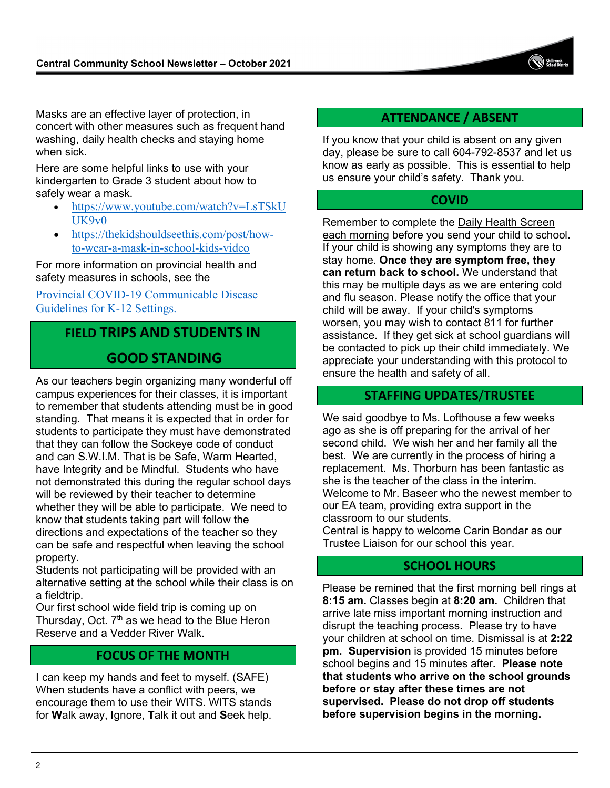

Masks are an effective layer of protection, in concert with other measures such as frequent hand washing, daily health checks and staying home when sick.

Here are some helpful links to use with your kindergarten to Grade 3 student about how to safely wear a mask.

- [https://www.youtube.com/watch?v=LsTSkU](https://www.youtube.com/watch?v=LsTSkUUK9v0) [UK9v0](https://www.youtube.com/watch?v=LsTSkUUK9v0)
- [https://thekidshouldseethis.com/post/how](https://thekidshouldseethis.com/post/how-to-wear-a-mask-in-school-kids-video)[to-wear-a-mask-in-school-kids-video](https://thekidshouldseethis.com/post/how-to-wear-a-mask-in-school-kids-video)

For more information on provincial health and safety measures in schools, see the

[Provincial COVID-19 Communicable Disease](https://www2.gov.bc.ca/assets/gov/education/administration/kindergarten-to-grade-12/safe-caring-orderly/k-12-covid-19-health-safety-guidlines.pdf)  [Guidelines for K-12 Settings.](https://www2.gov.bc.ca/assets/gov/education/administration/kindergarten-to-grade-12/safe-caring-orderly/k-12-covid-19-health-safety-guidlines.pdf) 

# **FIELD TRIPS AND STUDENTS IN**

## **GOOD STANDING**

As our teachers begin organizing many wonderful off campus experiences for their classes, it is important to remember that students attending must be in good standing. That means it is expected that in order for students to participate they must have demonstrated that they can follow the Sockeye code of conduct and can S.W.I.M. That is be Safe, Warm Hearted, have Integrity and be Mindful. Students who have not demonstrated this during the regular school days will be reviewed by their teacher to determine whether they will be able to participate. We need to know that students taking part will follow the directions and expectations of the teacher so they can be safe and respectful when leaving the school property.

Students not participating will be provided with an alternative setting at the school while their class is on a fieldtrip.

Our first school wide field trip is coming up on Thursday, Oct.  $7<sup>th</sup>$  as we head to the Blue Heron Reserve and a Vedder River Walk.

## **FOCUS OF THE MONTH**

I can keep my hands and feet to myself. (SAFE) When students have a conflict with peers, we encourage them to use their WITS. WITS stands for **W**alk away, **I**gnore, **T**alk it out and **S**eek help.

## **ATTENDANCE / ABSENT**

If you know that your child is absent on any given day, please be sure to call 604-792-8537 and let us know as early as possible. This is essential to help us ensure your child's safety. Thank you.

## **COVID**

Remember to complete the Daily Health Screen each morning before you send your child to school. If your child is showing any symptoms they are to stay home. **Once they are symptom free, they can return back to school.** We understand that this may be multiple days as we are entering cold and flu season. Please notify the office that your child will be away. If your child's symptoms worsen, you may wish to contact 811 for further assistance. If they get sick at school guardians will be contacted to pick up their child immediately. We appreciate your understanding with this protocol to ensure the health and safety of all.

## **STAFFING UPDATES**/**TRUSTEE**

We said goodbye to Ms. Lofthouse a few weeks ago as she is off preparing for the arrival of her second child. We wish her and her family all the best. We are currently in the process of hiring a replacement. Ms. Thorburn has been fantastic as she is the teacher of the class in the interim. Welcome to Mr. Baseer who the newest member to our EA team, providing extra support in the classroom to our students.

Central is happy to welcome Carin Bondar as our Trustee Liaison for our school this year.

## **SCHOOL HOURS**

Please be remined that the first morning bell rings at **8:15 am.** Classes begin at **8:20 am.** Children that arrive late miss important morning instruction and disrupt the teaching process. Please try to have your children at school on time. Dismissal is at **2:22 pm. Supervision** is provided 15 minutes before school begins and 15 minutes after**. Please note that students who arrive on the school grounds before or stay after these times are not supervised. Please do not drop off students before supervision begins in the morning.**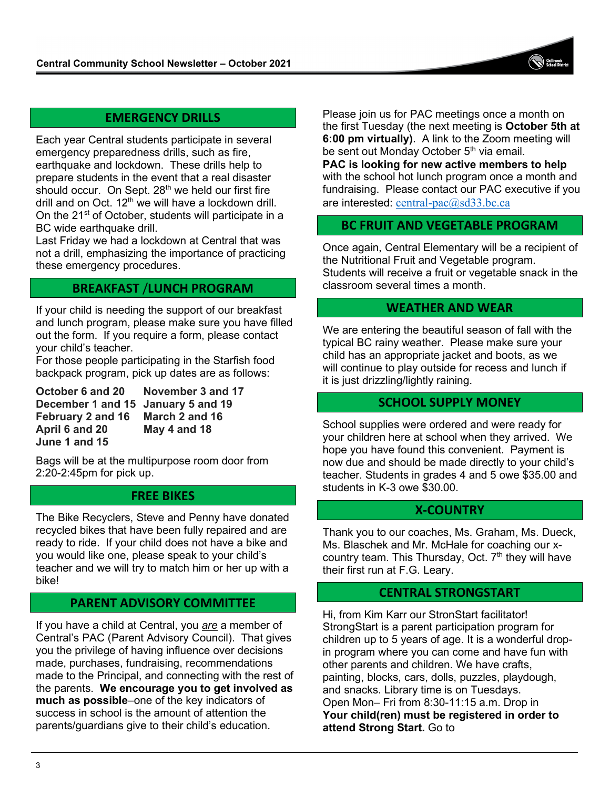## **EMERGENCY DRILLS**

Each year Central students participate in several emergency preparedness drills, such as fire, earthquake and lockdown. These drills help to prepare students in the event that a real disaster should occur. On Sept. 28<sup>th</sup> we held our first fire drill and on Oct. 12<sup>th</sup> we will have a lockdown drill. On the 21<sup>st</sup> of October, students will participate in a BC wide earthquake drill.

Last Friday we had a lockdown at Central that was not a drill, emphasizing the importance of practicing these emergency procedures.

### **BREAKFAST** /**LUNCH PROGRAM**

If your child is needing the support of our breakfast and lunch program, please make sure you have filled out the form. If you require a form, please contact your child's teacher.

For those people participating in the Starfish food backpack program, pick up dates are as follows:

**October 6 and 20 November 3 and 17 December 1 and 15 January 5 and 19 February 2 and 16 March 2 and 16 April 6 and 20 May 4 and 18 June 1 and 15**

Bags will be at the multipurpose room door from 2:20-2:45pm for pick up.

#### **FREE BIKES**

The Bike Recyclers, Steve and Penny have donated recycled bikes that have been fully repaired and are ready to ride. If your child does not have a bike and you would like one, please speak to your child's teacher and we will try to match him or her up with a bike!

#### **PARENT ADVISORY COMMITTEE**

If you have a child at Central, you *are* a member of Central's PAC (Parent Advisory Council). That gives you the privilege of having influence over decisions made, purchases, fundraising, recommendations made to the Principal, and connecting with the rest of the parents. **We encourage you to get involved as much as possible**–one of the key indicators of success in school is the amount of attention the parents/guardians give to their child's education.

Please join us for PAC meetings once a month on the first Tuesday (the next meeting is **October 5th at 6:00 pm virtually)**. A link to the Zoom meeting will be sent out Monday October 5<sup>th</sup> via email.

**PAC is looking for new active members to help** with the school hot lunch program once a month and fundraising. Please contact our PAC executive if you are interested: [central-pac@sd33.bc.ca](mailto:central-pac@sd33.bc.ca)

#### **BC FRUIT AND VEGETABLE PROGRAM**

Once again, Central Elementary will be a recipient of the Nutritional Fruit and Vegetable program. Students will receive a fruit or vegetable snack in the classroom several times a month.

#### **WEATHER AND WEAR**

We are entering the beautiful season of fall with the typical BC rainy weather. Please make sure your child has an appropriate jacket and boots, as we will continue to play outside for recess and lunch if it is just drizzling/lightly raining.

#### **SCHOOL SUPPLY MONEY**

School supplies were ordered and were ready for your children here at school when they arrived. We hope you have found this convenient. Payment is now due and should be made directly to your child's teacher. Students in grades 4 and 5 owe \$35.00 and students in K-3 owe \$30.00.

#### **X-COUNTRY**

Thank you to our coaches, Ms. Graham, Ms. Dueck, Ms. Blaschek and Mr. McHale for coaching our xcountry team. This Thursday, Oct.  $7<sup>th</sup>$  they will have their first run at F.G. Leary.

#### **CENTRAL STRONGSTART**

Hi, from Kim Karr our StronStart facilitator! StrongStart is a parent participation program for children up to 5 years of age. It is a wonderful dropin program where you can come and have fun with other parents and children. We have crafts, painting, blocks, cars, dolls, puzzles, playdough, and snacks. Library time is on Tuesdays. Open Mon– Fri from 8:30-11:15 a.m. Drop in **Your child(ren) must be registered in order to attend Strong Start.** Go to